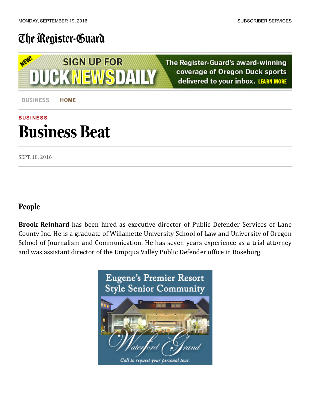## The [Register-Guard](http://registerguard.com/)

WEW **SIGN UP FOR CK NEWS DAILY** 

The Register-Guard's award-winning coverage of Oregon Duck sports delivered to your inbox. LEARN MORE

[BUSINESS](http://registerguard.com/csp/cms/sites/rg/business/index.csp) HOME

## **[BUSINESS](http://registerguard.com/rg/news/categories/?subcats=202)** Business Beat

SEPT. 18, 2016

## People

**Brook Reinhard** has been hired as executive director of Public Defender Services of Lane County Inc. He is a graduate of Willamette University School of Law and University of Oregon School of Journalism and Communication. He has seven years experience as a trial attorney and was assistant director of the Umpqua Valley Public Defender office in Roseburg.